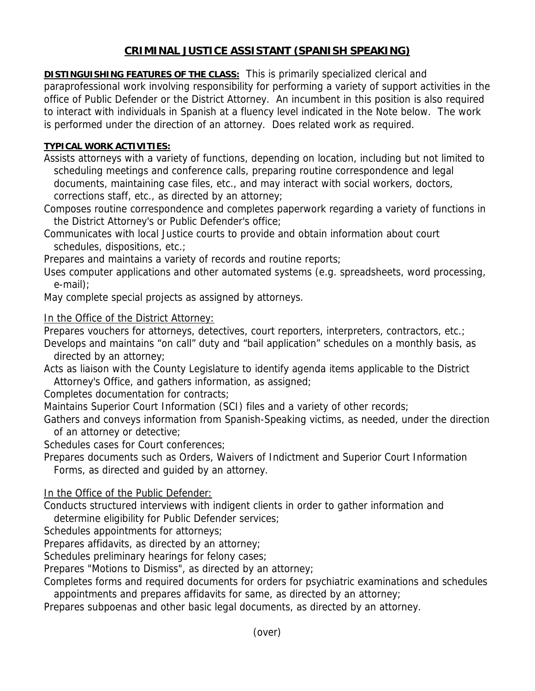# **CRIMINAL JUSTICE ASSISTANT (SPANISH SPEAKING)**

**DISTINGUISHING FEATURES OF THE CLASS:** This is primarily specialized clerical and paraprofessional work involving responsibility for performing a variety of support activities in the office of Public Defender or the District Attorney. An incumbent in this position is also required to interact with individuals in Spanish at a fluency level indicated in the Note below. The work is performed under the direction of an attorney. Does related work as required.

# **TYPICAL WORK ACTIVITIES:**

Assists attorneys with a variety of functions, depending on location, including but not limited to scheduling meetings and conference calls, preparing routine correspondence and legal documents, maintaining case files, etc., and may interact with social workers, doctors, corrections staff, etc., as directed by an attorney;

Composes routine correspondence and completes paperwork regarding a variety of functions in the District Attorney's or Public Defender's office;

Communicates with local Justice courts to provide and obtain information about court schedules, dispositions, etc.;

Prepares and maintains a variety of records and routine reports;

Uses computer applications and other automated systems (e.g. spreadsheets, word processing, e-mail);

May complete special projects as assigned by attorneys.

## In the Office of the District Attorney:

Prepares vouchers for attorneys, detectives, court reporters, interpreters, contractors, etc.;

Develops and maintains "on call" duty and "bail application" schedules on a monthly basis, as directed by an attorney;

Acts as liaison with the County Legislature to identify agenda items applicable to the District Attorney's Office, and gathers information, as assigned;

Completes documentation for contracts;

Maintains Superior Court Information (SCI) files and a variety of other records;

Gathers and conveys information from Spanish-Speaking victims, as needed, under the direction of an attorney or detective;

Schedules cases for Court conferences;

Prepares documents such as Orders, Waivers of Indictment and Superior Court Information Forms, as directed and guided by an attorney.

In the Office of the Public Defender:

Conducts structured interviews with indigent clients in order to gather information and determine eligibility for Public Defender services;

Schedules appointments for attorneys;

Prepares affidavits, as directed by an attorney;

Schedules preliminary hearings for felony cases;

Prepares "Motions to Dismiss", as directed by an attorney;

Completes forms and required documents for orders for psychiatric examinations and schedules

appointments and prepares affidavits for same, as directed by an attorney;

Prepares subpoenas and other basic legal documents, as directed by an attorney.